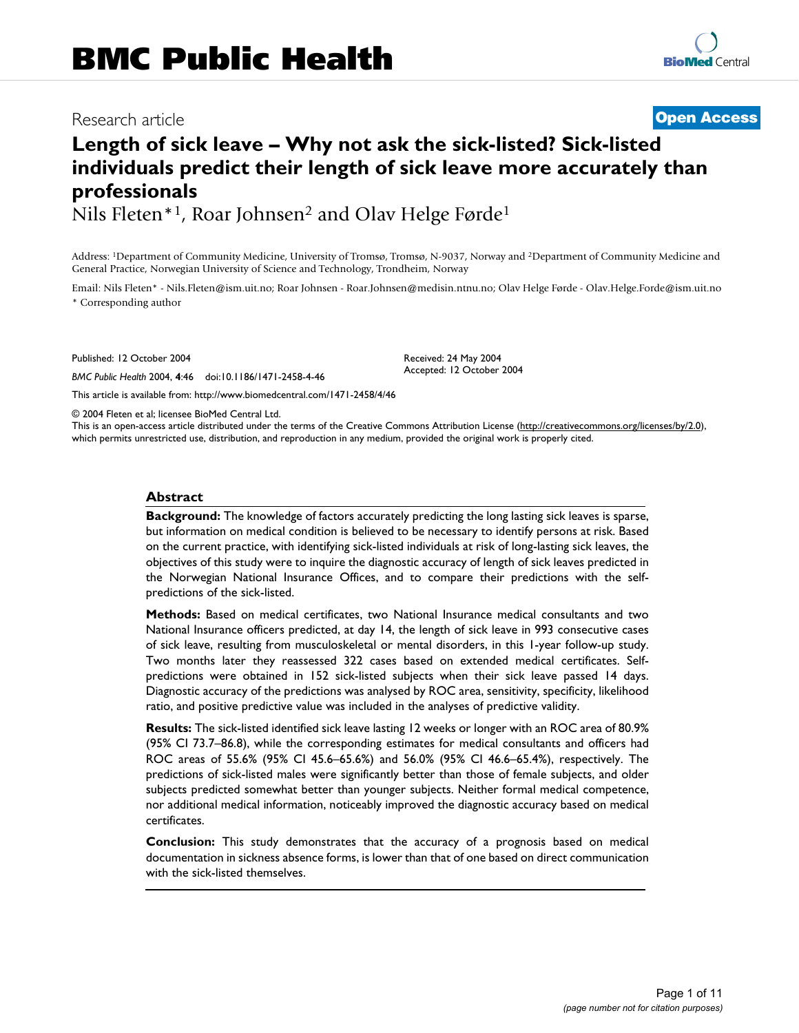# Research article **[Open Access](http://www.biomedcentral.com/info/about/charter/)**

# **Length of sick leave – Why not ask the sick-listed? Sick-listed individuals predict their length of sick leave more accurately than professionals**

Nils Fleten\*<sup>1</sup>, Roar Johnsen<sup>2</sup> and Olav Helge Førde<sup>1</sup>

Address: 1Department of Community Medicine, University of Tromsø, Tromsø, N-9037, Norway and 2Department of Community Medicine and General Practice, Norwegian University of Science and Technology, Trondheim, Norway

Email: Nils Fleten\* - Nils.Fleten@ism.uit.no; Roar Johnsen - Roar.Johnsen@medisin.ntnu.no; Olav Helge Førde - Olav.Helge.Forde@ism.uit.no \* Corresponding author

> Received: 24 May 2004 Accepted: 12 October 2004

Published: 12 October 2004

*BMC Public Health* 2004, **4**:46 doi:10.1186/1471-2458-4-46

[This article is available from: http://www.biomedcentral.com/1471-2458/4/46](http://www.biomedcentral.com/1471-2458/4/46)

© 2004 Fleten et al; licensee BioMed Central Ltd.

This is an open-access article distributed under the terms of the Creative Commons Attribution License (<http://creativecommons.org/licenses/by/2.0>), which permits unrestricted use, distribution, and reproduction in any medium, provided the original work is properly cited.

#### **Abstract**

**Background:** The knowledge of factors accurately predicting the long lasting sick leaves is sparse, but information on medical condition is believed to be necessary to identify persons at risk. Based on the current practice, with identifying sick-listed individuals at risk of long-lasting sick leaves, the objectives of this study were to inquire the diagnostic accuracy of length of sick leaves predicted in the Norwegian National Insurance Offices, and to compare their predictions with the selfpredictions of the sick-listed.

**Methods:** Based on medical certificates, two National Insurance medical consultants and two National Insurance officers predicted, at day 14, the length of sick leave in 993 consecutive cases of sick leave, resulting from musculoskeletal or mental disorders, in this 1-year follow-up study. Two months later they reassessed 322 cases based on extended medical certificates. Selfpredictions were obtained in 152 sick-listed subjects when their sick leave passed 14 days. Diagnostic accuracy of the predictions was analysed by ROC area, sensitivity, specificity, likelihood ratio, and positive predictive value was included in the analyses of predictive validity.

**Results:** The sick-listed identified sick leave lasting 12 weeks or longer with an ROC area of 80.9% (95% CI 73.7–86.8), while the corresponding estimates for medical consultants and officers had ROC areas of 55.6% (95% CI 45.6–65.6%) and 56.0% (95% CI 46.6–65.4%), respectively. The predictions of sick-listed males were significantly better than those of female subjects, and older subjects predicted somewhat better than younger subjects. Neither formal medical competence, nor additional medical information, noticeably improved the diagnostic accuracy based on medical certificates.

**Conclusion:** This study demonstrates that the accuracy of a prognosis based on medical documentation in sickness absence forms, is lower than that of one based on direct communication with the sick-listed themselves.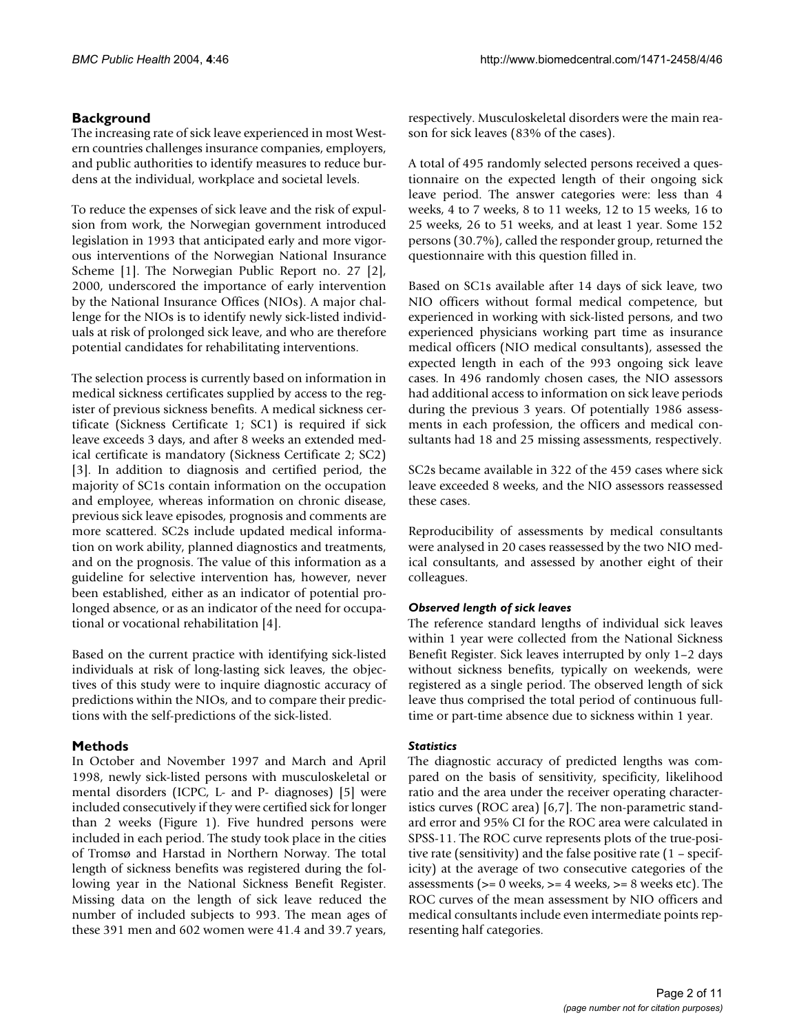## **Background**

The increasing rate of sick leave experienced in most Western countries challenges insurance companies, employers, and public authorities to identify measures to reduce burdens at the individual, workplace and societal levels.

To reduce the expenses of sick leave and the risk of expulsion from work, the Norwegian government introduced legislation in 1993 that anticipated early and more vigorous interventions of the Norwegian National Insurance Scheme [1]. The Norwegian Public Report no. 27 [2], 2000, underscored the importance of early intervention by the National Insurance Offices (NIOs). A major challenge for the NIOs is to identify newly sick-listed individuals at risk of prolonged sick leave, and who are therefore potential candidates for rehabilitating interventions.

The selection process is currently based on information in medical sickness certificates supplied by access to the register of previous sickness benefits. A medical sickness certificate (Sickness Certificate 1; SC1) is required if sick leave exceeds 3 days, and after 8 weeks an extended medical certificate is mandatory (Sickness Certificate 2; SC2) [3]. In addition to diagnosis and certified period, the majority of SC1s contain information on the occupation and employee, whereas information on chronic disease, previous sick leave episodes, prognosis and comments are more scattered. SC2s include updated medical information on work ability, planned diagnostics and treatments, and on the prognosis. The value of this information as a guideline for selective intervention has, however, never been established, either as an indicator of potential prolonged absence, or as an indicator of the need for occupational or vocational rehabilitation [4].

Based on the current practice with identifying sick-listed individuals at risk of long-lasting sick leaves, the objectives of this study were to inquire diagnostic accuracy of predictions within the NIOs, and to compare their predictions with the self-predictions of the sick-listed.

## **Methods**

In October and November 1997 and March and April 1998, newly sick-listed persons with musculoskeletal or mental disorders (ICPC, L- and P- diagnoses) [5] were included consecutively if they were certified sick for longer than 2 weeks (Figure [1](#page-2-0)). Five hundred persons were included in each period. The study took place in the cities of Tromsø and Harstad in Northern Norway. The total length of sickness benefits was registered during the following year in the National Sickness Benefit Register. Missing data on the length of sick leave reduced the number of included subjects to 993. The mean ages of these 391 men and 602 women were 41.4 and 39.7 years,

respectively. Musculoskeletal disorders were the main reason for sick leaves (83% of the cases).

A total of 495 randomly selected persons received a questionnaire on the expected length of their ongoing sick leave period. The answer categories were: less than 4 weeks, 4 to 7 weeks, 8 to 11 weeks, 12 to 15 weeks, 16 to 25 weeks, 26 to 51 weeks, and at least 1 year. Some 152 persons (30.7%), called the responder group, returned the questionnaire with this question filled in.

Based on SC1s available after 14 days of sick leave, two NIO officers without formal medical competence, but experienced in working with sick-listed persons, and two experienced physicians working part time as insurance medical officers (NIO medical consultants), assessed the expected length in each of the 993 ongoing sick leave cases. In 496 randomly chosen cases, the NIO assessors had additional access to information on sick leave periods during the previous 3 years. Of potentially 1986 assessments in each profession, the officers and medical consultants had 18 and 25 missing assessments, respectively.

SC2s became available in 322 of the 459 cases where sick leave exceeded 8 weeks, and the NIO assessors reassessed these cases.

Reproducibility of assessments by medical consultants were analysed in 20 cases reassessed by the two NIO medical consultants, and assessed by another eight of their colleagues.

## *Observed length of sick leaves*

The reference standard lengths of individual sick leaves within 1 year were collected from the National Sickness Benefit Register. Sick leaves interrupted by only 1–2 days without sickness benefits, typically on weekends, were registered as a single period. The observed length of sick leave thus comprised the total period of continuous fulltime or part-time absence due to sickness within 1 year.

## *Statistics*

The diagnostic accuracy of predicted lengths was compared on the basis of sensitivity, specificity, likelihood ratio and the area under the receiver operating characteristics curves (ROC area) [6,7]. The non-parametric standard error and 95% CI for the ROC area were calculated in SPSS-11. The ROC curve represents plots of the true-positive rate (sensitivity) and the false positive rate (1 – specificity) at the average of two consecutive categories of the assessments ( $>= 0$  weeks,  $>= 4$  weeks,  $>= 8$  weeks etc). The ROC curves of the mean assessment by NIO officers and medical consultants include even intermediate points representing half categories.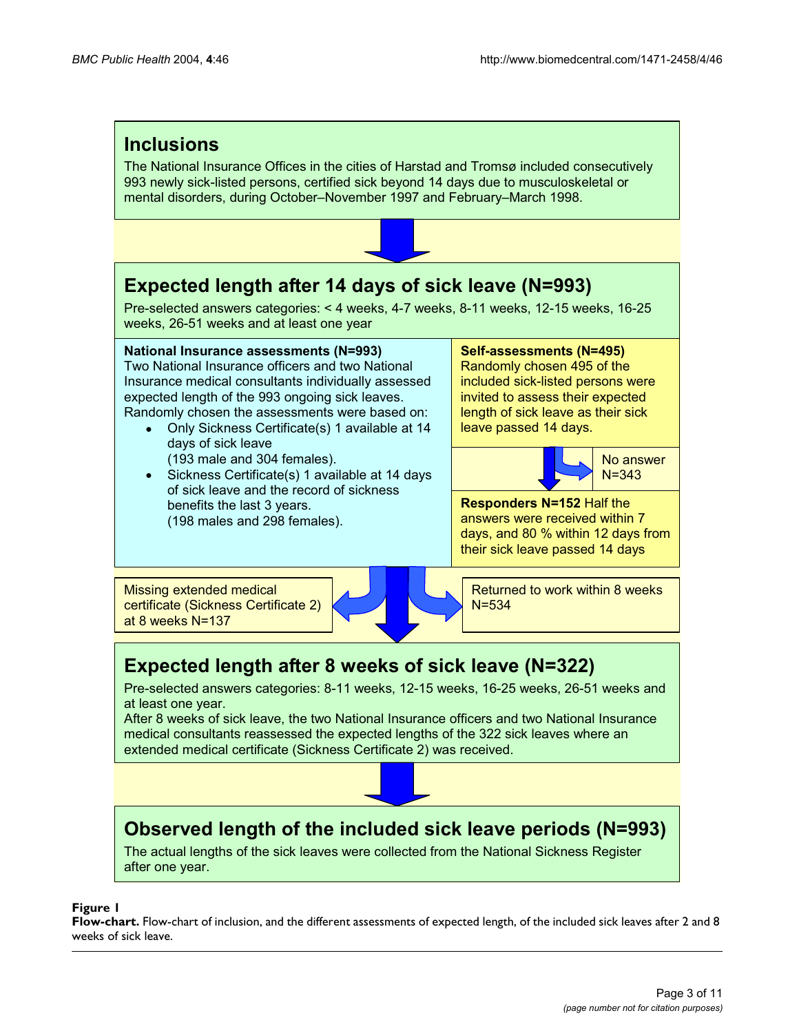<span id="page-2-0"></span>

## **Figure 1**

**Flow-chart.** Flow-chart of inclusion, and the different assessments of expected length, of the included sick leaves after 2 and 8 weeks of sick leave.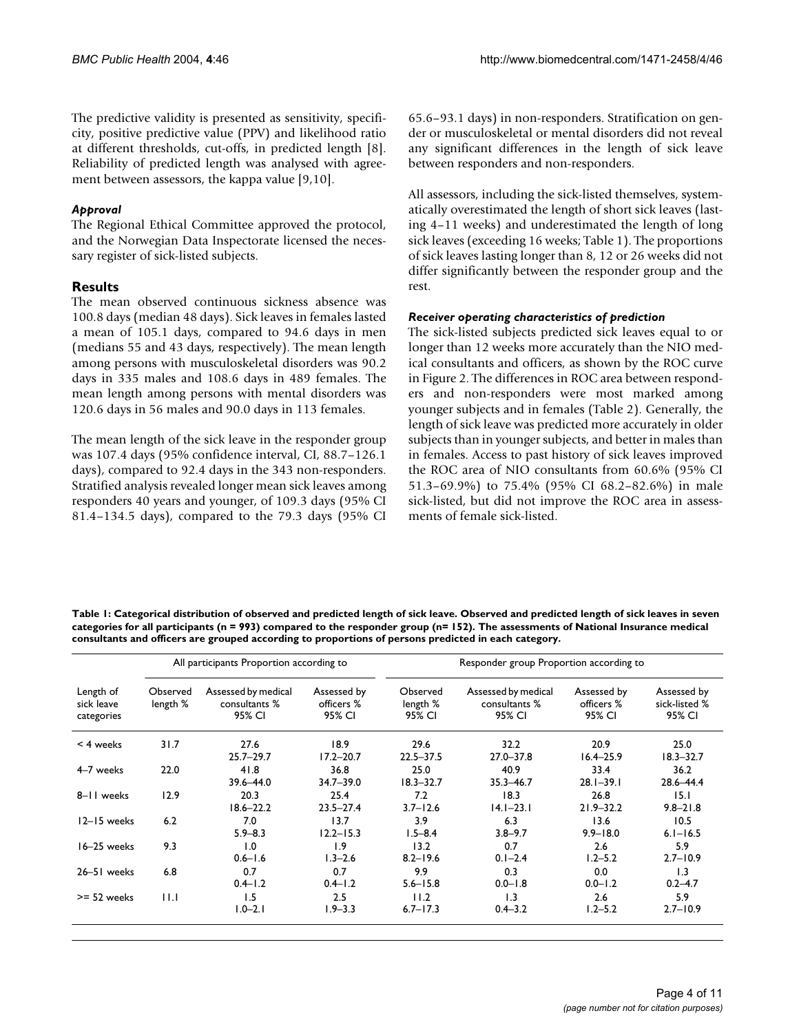The predictive validity is presented as sensitivity, specificity, positive predictive value (PPV) and likelihood ratio at different thresholds, cut-offs, in predicted length [8]. Reliability of predicted length was analysed with agreement between assessors, the kappa value [9,10].

## *Approval*

The Regional Ethical Committee approved the protocol, and the Norwegian Data Inspectorate licensed the necessary register of sick-listed subjects.

## **Results**

The mean observed continuous sickness absence was 100.8 days (median 48 days). Sick leaves in females lasted a mean of 105.1 days, compared to 94.6 days in men (medians 55 and 43 days, respectively). The mean length among persons with musculoskeletal disorders was 90.2 days in 335 males and 108.6 days in 489 females. The mean length among persons with mental disorders was 120.6 days in 56 males and 90.0 days in 113 females.

The mean length of the sick leave in the responder group was 107.4 days (95% confidence interval, CI, 88.7–126.1 days), compared to 92.4 days in the 343 non-responders. Stratified analysis revealed longer mean sick leaves among responders 40 years and younger, of 109.3 days (95% CI 81.4–134.5 days), compared to the 79.3 days (95% CI 65.6–93.1 days) in non-responders. Stratification on gender or musculoskeletal or mental disorders did not reveal any significant differences in the length of sick leave between responders and non-responders.

All assessors, including the sick-listed themselves, systematically overestimated the length of short sick leaves (lasting 4–11 weeks) and underestimated the length of long sick leaves (exceeding 16 weeks; Table [1\)](#page-3-0). The proportions of sick leaves lasting longer than 8, 12 or 26 weeks did not differ significantly between the responder group and the rest.

## *Receiver operating characteristics of prediction*

The sick-listed subjects predicted sick leaves equal to or longer than 12 weeks more accurately than the NIO medical consultants and officers, as shown by the ROC curve in Figure 2. The differences in ROC area between responders and non-responders were most marked among younger subjects and in females (Table [2\)](#page-5-0). Generally, the length of sick leave was predicted more accurately in older subjects than in younger subjects, and better in males than in females. Access to past history of sick leaves improved the ROC area of NIO consultants from 60.6% (95% CI 51.3–69.9%) to 75.4% (95% CI 68.2–82.6%) in male sick-listed, but did not improve the ROC area in assessments of female sick-listed.

<span id="page-3-0"></span>**Table 1: Categorical distribution of observed and predicted length of sick leave. Observed and predicted length of sick leaves in seven categories for all participants (n = 993) compared to the responder group (n= 152). The assessments of National Insurance medical consultants and officers are grouped according to proportions of persons predicted in each category.**

|                                       |                      | All participants Proportion according to       |                                     | Responder group Proportion according to |                                                |                                     |                                        |  |  |
|---------------------------------------|----------------------|------------------------------------------------|-------------------------------------|-----------------------------------------|------------------------------------------------|-------------------------------------|----------------------------------------|--|--|
| Length of<br>sick leave<br>categories | Observed<br>length % | Assessed by medical<br>consultants %<br>95% CI | Assessed by<br>officers %<br>95% CI | Observed<br>length %<br>95% CI          | Assessed by medical<br>consultants %<br>95% CI | Assessed by<br>officers %<br>95% CI | Assessed by<br>sick-listed %<br>95% CI |  |  |
| $<$ 4 weeks                           | 31.7                 | 27.6<br>$25.7 - 29.7$                          | 18.9<br>$17.2 - 20.7$               | 29.6<br>$22.5 - 37.5$                   | 32.2<br>$27.0 - 37.8$                          | 20.9<br>$16.4 - 25.9$               | 25.0<br>$18.3 - 32.7$                  |  |  |
| 4-7 weeks                             | 22.0                 | 41.8<br>$39.6 - 44.0$                          | 36.8<br>$34.7 - 39.0$               | 25.0<br>$18.3 - 32.7$                   | 40.9<br>$35.3 - 46.7$                          | 33.4<br>$28.1 - 39.1$               | 36.2<br>28.6-44.4                      |  |  |
| 8-11 weeks                            | 12.9                 | 20.3<br>$18.6 - 22.2$                          | 25.4<br>$23.5 - 27.4$               | 7.2<br>$3.7 - 12.6$                     | 18.3<br>$14.1 - 23.1$                          | 26.8<br>$21.9 - 32.2$               | 15.1<br>$9.8 - 21.8$                   |  |  |
| 12-15 weeks                           | 6.2                  | 7.0<br>$5.9 - 8.3$                             | 13.7<br>$12.2 - 15.3$               | 3.9<br>$1.5 - 8.4$                      | 6.3<br>$3.8 - 9.7$                             | 13.6<br>$9.9 - 18.0$                | 10.5<br>$6.1 - 16.5$                   |  |  |
| 16-25 weeks                           | 9.3                  | 1.0<br>$0.6 - 1.6$                             | 1.9<br>$1.3 - 2.6$                  | 13.2<br>$8.2 - 19.6$                    | 0.7<br>$0.1 - 2.4$                             | 2.6<br>$1.2 - 5.2$                  | 5.9<br>$2.7 - 10.9$                    |  |  |
| 26-51 weeks                           | 6.8                  | 0.7<br>$0.4 - 1.2$                             | 0.7<br>$0.4 - 1.2$                  | 9.9<br>$5.6 - 15.8$                     | 0.3<br>$0.0 - 1.8$                             | 0.0<br>$0.0 - 1.2$                  | 1.3<br>$0.2 - 4.7$                     |  |  |
| $>= 52$ weeks                         | 11.1                 | 1.5<br>$1.0 - 2.1$                             | 2.5<br>$1.9 - 3.3$                  | 11.2<br>$6.7 - 17.3$                    | 1.3<br>$0.4 - 3.2$                             | 2.6<br>$1.2 - 5.2$                  | 5.9<br>$2.7 - 10.9$                    |  |  |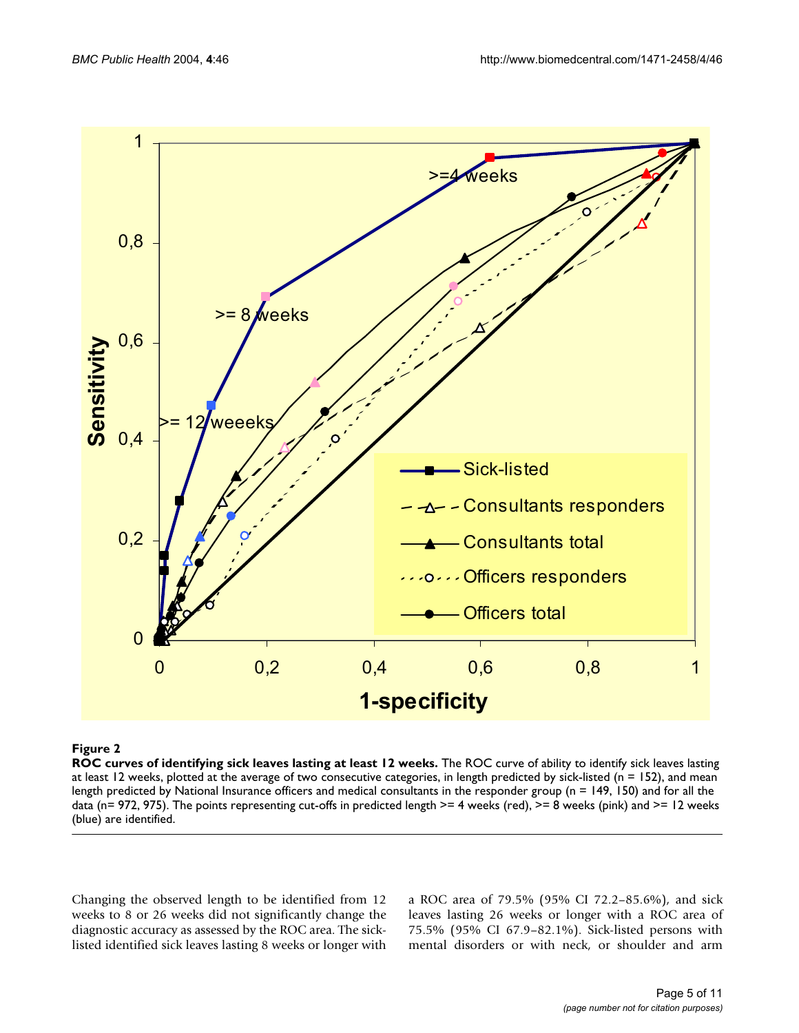

## **Figure 2**

**ROC curves of identifying sick leaves lasting at least 12 weeks.** The ROC curve of ability to identify sick leaves lasting at least 12 weeks, plotted at the average of two consecutive categories, in length predicted by sick-listed ( $n = 152$ ), and mean length predicted by National Insurance officers and medical consultants in the responder group (n = 149, 150) and for all the data (n= 972, 975). The points representing cut-offs in predicted length  $>= 4$  weeks (red),  $>= 8$  weeks (pink) and  $>= 12$  weeks (blue) are identified.

Changing the observed length to be identified from 12 weeks to 8 or 26 weeks did not significantly change the diagnostic accuracy as assessed by the ROC area. The sicklisted identified sick leaves lasting 8 weeks or longer with a ROC area of 79.5% (95% CI 72.2–85.6%), and sick leaves lasting 26 weeks or longer with a ROC area of 75.5% (95% CI 67.9–82.1%). Sick-listed persons with mental disorders or with neck, or shoulder and arm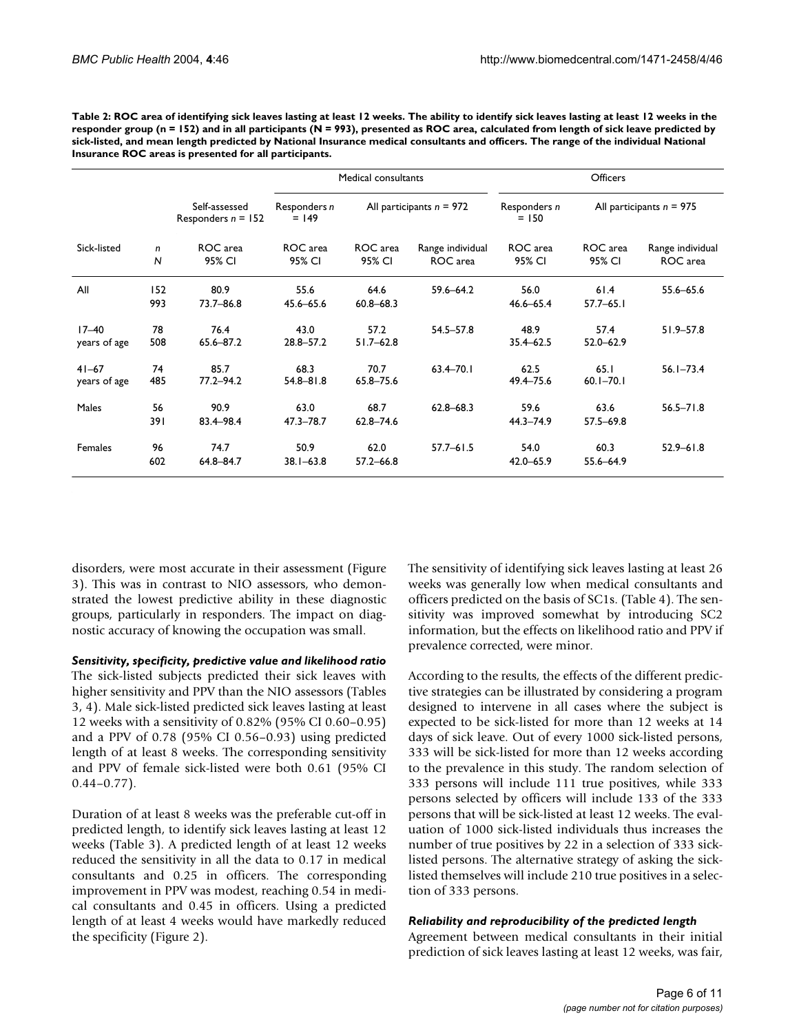<span id="page-5-0"></span>

| Table 2: ROC area of identifying sick leaves lasting at least 12 weeks. The ability to identify sick leaves lasting at least 12 weeks in the  |
|-----------------------------------------------------------------------------------------------------------------------------------------------|
| responder group ( $n = 152$ ) and in all participants ( $N = 993$ ), presented as ROC area, calculated from length of sick leave predicted by |
| sick-listed, and mean length predicted by National Insurance medical consultants and officers. The range of the individual National           |
| Insurance ROC areas is presented for all participants.                                                                                        |

|                     | Self-assessed<br>Responders $n = 152$ | Medical consultants     |                            |                              | <b>Officers</b>         |                            |                              |
|---------------------|---------------------------------------|-------------------------|----------------------------|------------------------------|-------------------------|----------------------------|------------------------------|
|                     |                                       | Responders n<br>$= 149$ | All participants $n = 972$ |                              | Responders n<br>$= 150$ | All participants $n = 975$ |                              |
| n<br>$\overline{N}$ | ROC area<br>95% CI                    | ROC area<br>95% CI      | ROC area<br>95% CI         | Range individual<br>ROC area | ROC area<br>95% CI      | ROC area<br>95% CI         | Range individual<br>ROC area |
| 152<br>993          | 80.9<br>$73.7 - 86.8$                 | 55.6<br>45.6-65.6       | 64.6<br>$60.8 - 68.3$      | $59.6 - 64.2$                | 56.0<br>$46.6 - 65.4$   | 61.4<br>$57.7 - 65.1$      | 55.6-65.6                    |
| 78<br>508           | 76.4<br>65.6-87.2                     | 43.0<br>28.8-57.2       | 57.2<br>$51.7 - 62.8$      | $54.5 - 57.8$                | 48.9<br>$35.4 - 62.5$   | 57.4<br>52.0-62.9          | $51.9 - 57.8$                |
| 74<br>485           | 85.7<br>$77.2 - 94.2$                 | 68.3<br>$54.8 - 81.8$   | 70.7<br>65.8-75.6          | $63.4 - 70.1$                | 62.5<br>49.4-75.6       | 65.1<br>$60.1 - 70.1$      | $56.1 - 73.4$                |
| 56<br>391           | 90.9<br>83.4-98.4                     | 63.0<br>$47.3 - 78.7$   | 68.7<br>$62.8 - 74.6$      | $62.8 - 68.3$                | 59.6<br>$44.3 - 74.9$   | 63.6<br>$57.5 - 69.8$      | $56.5 - 71.8$                |
| 96<br>602           | 74.7<br>64.8-84.7                     | 50.9<br>$38.1 - 63.8$   | 62.0<br>$57.2 - 66.8$      | $57.7 - 61.5$                | 54.0<br>$42.0 - 65.9$   | 60.3<br>55.6-64.9          | $52.9 - 61.8$                |
|                     |                                       |                         |                            |                              |                         |                            |                              |

disorders, were most accurate in their assessment (Figure 3). This was in contrast to NIO assessors, who demonstrated the lowest predictive ability in these diagnostic groups, particularly in responders. The impact on diagnostic accuracy of knowing the occupation was small.

*Sensitivity, specificity, predictive value and likelihood ratio*

The sick-listed subjects predicted their sick leaves with higher sensitivity and PPV than the NIO assessors (Tables [3,](#page-6-0) [4](#page-7-0)). Male sick-listed predicted sick leaves lasting at least 12 weeks with a sensitivity of 0.82% (95% CI 0.60–0.95) and a PPV of 0.78 (95% CI 0.56–0.93) using predicted length of at least 8 weeks. The corresponding sensitivity and PPV of female sick-listed were both 0.61 (95% CI  $0.44 - 0.77$ ).

Duration of at least 8 weeks was the preferable cut-off in predicted length, to identify sick leaves lasting at least 12 weeks (Table [3](#page-6-0)). A predicted length of at least 12 weeks reduced the sensitivity in all the data to 0.17 in medical consultants and 0.25 in officers. The corresponding improvement in PPV was modest, reaching 0.54 in medical consultants and 0.45 in officers. Using a predicted length of at least 4 weeks would have markedly reduced the specificity (Figure 2).

The sensitivity of identifying sick leaves lasting at least 26 weeks was generally low when medical consultants and officers predicted on the basis of SC1s. (Table [4](#page-7-0)). The sensitivity was improved somewhat by introducing SC2 information, but the effects on likelihood ratio and PPV if prevalence corrected, were minor.

According to the results, the effects of the different predictive strategies can be illustrated by considering a program designed to intervene in all cases where the subject is expected to be sick-listed for more than 12 weeks at 14 days of sick leave. Out of every 1000 sick-listed persons, 333 will be sick-listed for more than 12 weeks according to the prevalence in this study. The random selection of 333 persons will include 111 true positives, while 333 persons selected by officers will include 133 of the 333 persons that will be sick-listed at least 12 weeks. The evaluation of 1000 sick-listed individuals thus increases the number of true positives by 22 in a selection of 333 sicklisted persons. The alternative strategy of asking the sicklisted themselves will include 210 true positives in a selection of 333 persons.

## *Reliability and reproducibility of the predicted length*

Agreement between medical consultants in their initial prediction of sick leaves lasting at least 12 weeks, was fair,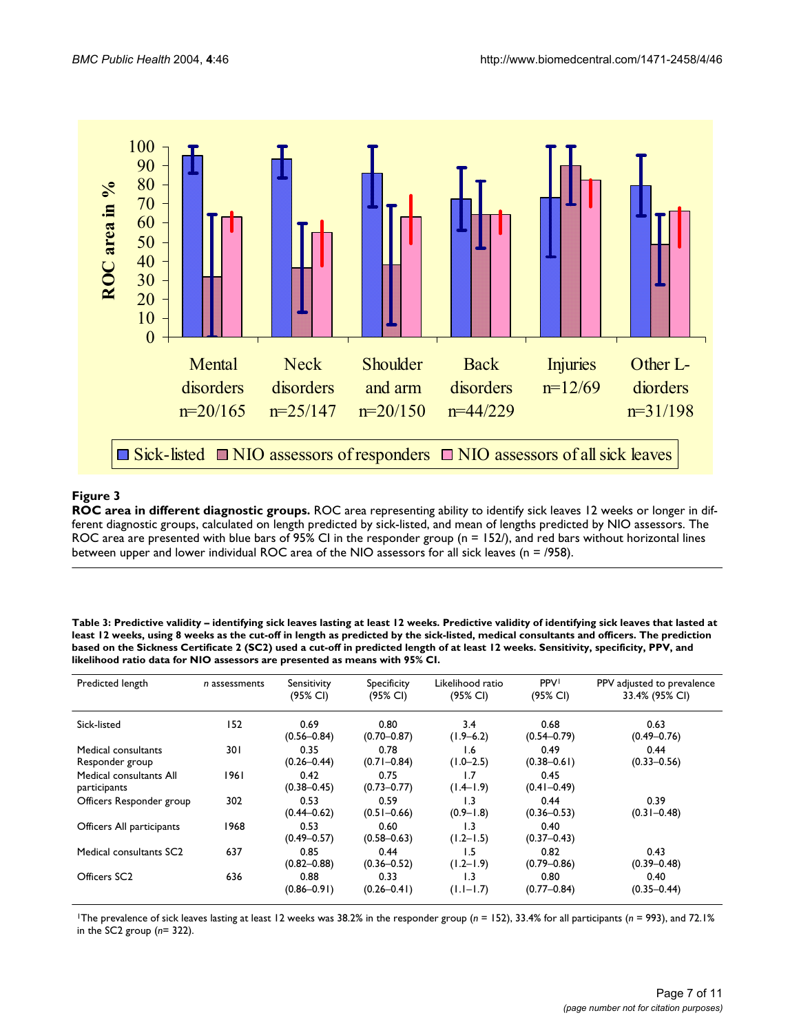

## **Figure 3**

**ROC area in different diagnostic groups.** ROC area representing ability to identify sick leaves 12 weeks or longer in different diagnostic groups, calculated on length predicted by sick-listed, and mean of lengths predicted by NIO assessors. The ROC area are presented with blue bars of 95% CI in the responder group (n = 152/), and red bars without horizontal lines between upper and lower individual ROC area of the NIO assessors for all sick leaves (n = /958).

<span id="page-6-0"></span>**Table 3: Predictive validity – identifying sick leaves lasting at least 12 weeks. Predictive validity of identifying sick leaves that lasted at least 12 weeks, using 8 weeks as the cut-off in length as predicted by the sick-listed, medical consultants and officers. The prediction based on the Sickness Certificate 2 (SC2) used a cut-off in predicted length of at least 12 weeks. Sensitivity, specificity, PPV, and likelihood ratio data for NIO assessors are presented as means with 95% CI.**

| Predicted length                        | n assessments | Sensitivity<br>(95% CI) | Specificity<br>(95% CI) | Likelihood ratio<br>(95% CI)      | <b>PPV</b><br>(95% CI)  | PPV adjusted to prevalence<br>33.4% (95% CI) |
|-----------------------------------------|---------------|-------------------------|-------------------------|-----------------------------------|-------------------------|----------------------------------------------|
| Sick-listed                             | 152           | 0.69<br>$(0.56 - 0.84)$ | 0.80<br>$(0.70 - 0.87)$ | 3.4<br>$(1.9 - 6.2)$              | 0.68<br>$(0.54 - 0.79)$ | 0.63<br>$(0.49 - 0.76)$                      |
| Medical consultants<br>Responder group  | 30 I          | 0.35<br>$(0.26 - 0.44)$ | 0.78<br>$(0.71 - 0.84)$ | 1.6<br>$(1.0 - 2.5)$              | 0.49<br>$(0.38 - 0.61)$ | 0.44<br>$(0.33 - 0.56)$                      |
| Medical consultants All<br>participants | 1961          | 0.42<br>$(0.38 - 0.45)$ | 0.75<br>$(0.73 - 0.77)$ | 1.7<br>$(1.4 - 1.9)$              | 0.45<br>$(0.41 - 0.49)$ |                                              |
| Officers Responder group                | 302           | 0.53<br>$(0.44 - 0.62)$ | 0.59<br>$(0.51 - 0.66)$ | $\overline{1.3}$<br>$(0.9 - 1.8)$ | 0.44<br>$(0.36 - 0.53)$ | 0.39<br>$(0.31 - 0.48)$                      |
| Officers All participants               | 1968          | 0.53<br>$(0.49 - 0.57)$ | 0.60<br>$(0.58 - 0.63)$ | 1.3<br>$(1.2 - 1.5)$              | 0.40<br>$(0.37 - 0.43)$ |                                              |
| Medical consultants SC <sub>2</sub>     | 637           | 0.85<br>$(0.82 - 0.88)$ | 0.44<br>$(0.36 - 0.52)$ | 1.5<br>$(1.2 - 1.9)$              | 0.82<br>$(0.79 - 0.86)$ | 0.43<br>$(0.39 - 0.48)$                      |
| Officers SC <sub>2</sub>                | 636           | 0.88<br>$(0.86 - 0.91)$ | 0.33<br>$(0.26 - 0.41)$ | $\overline{1.3}$<br>$(1.1 - 1.7)$ | 0.80<br>$(0.77 - 0.84)$ | 0.40<br>$(0.35 - 0.44)$                      |

1The prevalence of sick leaves lasting at least 12 weeks was 38.2% in the responder group (*n* = 152), 33.4% for all participants (*n* = 993), and 72.1% in the SC2 group (*n*= 322).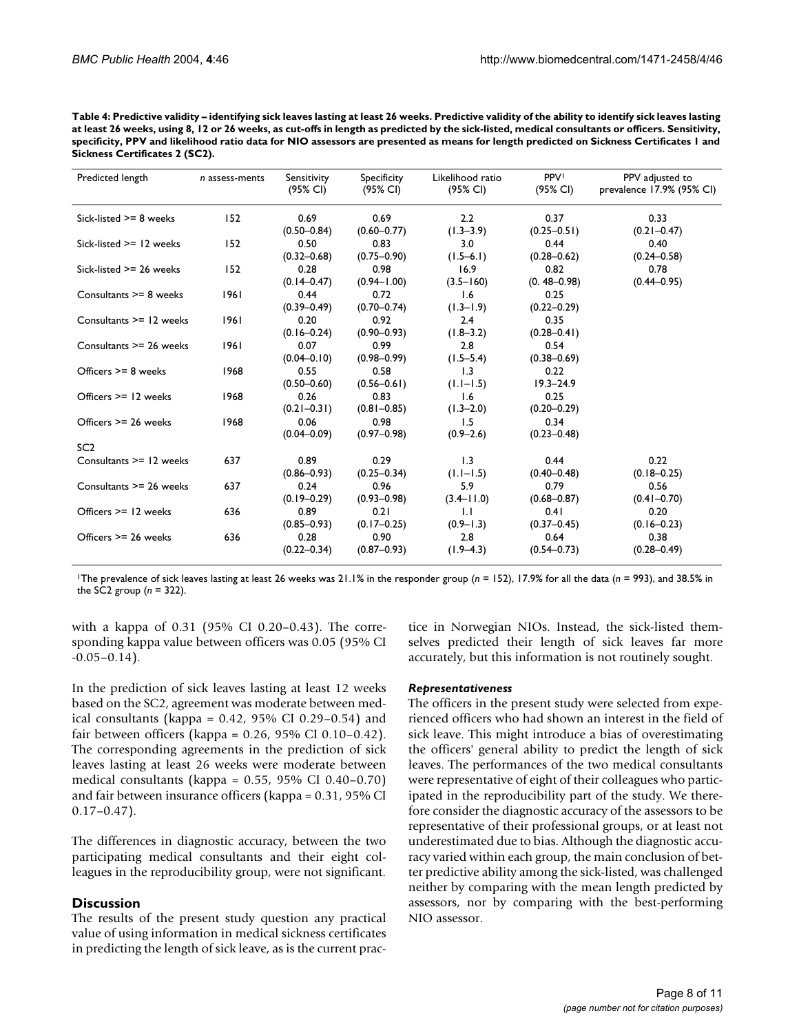<span id="page-7-0"></span>

| Table 4: Predictive validity – identifying sick leaves lasting at least 26 weeks. Predictive validity of the ability to identify sick leaves lasting |
|------------------------------------------------------------------------------------------------------------------------------------------------------|
| at least 26 weeks, using 8, 12 or 26 weeks, as cut-offs in length as predicted by the sick-listed, medical consultants or officers. Sensitivity,     |
| specificity, PPV and likelihood ratio data for NIO assessors are presented as means for length predicted on Sickness Certificates 1 and              |
| Sickness Certificates 2 (SC2).                                                                                                                       |

| Predicted length          | $n$ assess-ments | Sensitivity<br>(95% CI) | Specificity<br>(95% CI) | Likelihood ratio<br>(95% CI) | <b>PPV</b><br>(95% CI)  | PPV adjusted to<br>prevalence 17.9% (95% CI) |
|---------------------------|------------------|-------------------------|-------------------------|------------------------------|-------------------------|----------------------------------------------|
| Sick-listed $>= 8$ weeks  | 152              | 0.69<br>$(0.50 - 0.84)$ | 0.69<br>$(0.60 - 0.77)$ | 2.2<br>$(1.3 - 3.9)$         | 0.37<br>$(0.25 - 0.51)$ | 0.33<br>$(0.21 - 0.47)$                      |
| Sick-listed $>= 12$ weeks | 152              | 0.50<br>$(0.32 - 0.68)$ | 0.83<br>$(0.75 - 0.90)$ | 3.0<br>$(1.5-6.1)$           | 0.44<br>$(0.28 - 0.62)$ | 0.40<br>$(0.24 - 0.58)$                      |
| Sick-listed $>= 26$ weeks | 152              | 0.28<br>$(0.14 - 0.47)$ | 0.98<br>$(0.94 - 1.00)$ | 16.9<br>$(3.5 - 160)$        | 0.82<br>$(0.48 - 0.98)$ | 0.78<br>$(0.44 - 0.95)$                      |
| Consultants >= 8 weeks    | 1961             | 0.44<br>$(0.39 - 0.49)$ | 0.72<br>$(0.70 - 0.74)$ | 1.6<br>$(1.3 - 1.9)$         | 0.25<br>$(0.22 - 0.29)$ |                                              |
| Consultants >= 12 weeks   | 1961             | 0.20<br>$(0.16 - 0.24)$ | 0.92<br>$(0.90 - 0.93)$ | 2.4<br>$(1.8 - 3.2)$         | 0.35<br>$(0.28 - 0.41)$ |                                              |
| Consultants >= 26 weeks   | 1961             | 0.07<br>$(0.04 - 0.10)$ | 0.99<br>$(0.98 - 0.99)$ | 2.8<br>$(1.5 - 5.4)$         | 0.54<br>$(0.38 - 0.69)$ |                                              |
| Officers >= 8 weeks       | 1968             | 0.55<br>$(0.50 - 0.60)$ | 0.58<br>$(0.56 - 0.61)$ | 1.3<br>$(1.1 - 1.5)$         | 0.22<br>$19.3 - 24.9$   |                                              |
| Officers $>= 12$ weeks    | 1968             | 0.26<br>$(0.21 - 0.31)$ | 0.83<br>$(0.81 - 0.85)$ | 1.6<br>$(1.3 - 2.0)$         | 0.25<br>$(0.20 - 0.29)$ |                                              |
| Officers >= 26 weeks      | 1968             | 0.06<br>$(0.04 - 0.09)$ | 0.98<br>$(0.97 - 0.98)$ | 1.5<br>$(0.9 - 2.6)$         | 0.34<br>$(0.23 - 0.48)$ |                                              |
| SC <sub>2</sub>           |                  |                         |                         |                              |                         |                                              |
| Consultants >= 12 weeks   | 637              | 0.89<br>$(0.86 - 0.93)$ | 0.29<br>$(0.25 - 0.34)$ | 1.3<br>$(1.1 - 1.5)$         | 0.44<br>$(0.40 - 0.48)$ | 0.22<br>$(0.18 - 0.25)$                      |
| Consultants >= 26 weeks   | 637              | 0.24<br>$(0.19 - 0.29)$ | 0.96<br>$(0.93 - 0.98)$ | 5.9<br>$(3.4 - 11.0)$        | 0.79<br>$(0.68 - 0.87)$ | 0.56<br>$(0.41 - 0.70)$                      |
| Officers $>= 12$ weeks    | 636              | 0.89<br>$(0.85 - 0.93)$ | 0.21<br>$(0.17 - 0.25)$ | 1.1<br>$(0.9 - 1.3)$         | 0.41<br>$(0.37 - 0.45)$ | 0.20<br>$(0.16 - 0.23)$                      |
| Officers >= 26 weeks      | 636              | 0.28<br>$(0.22 - 0.34)$ | 0.90<br>$(0.87 - 0.93)$ | 2.8<br>$(1.9 - 4.3)$         | 0.64<br>$(0.54 - 0.73)$ | 0.38<br>$(0.28 - 0.49)$                      |

1The prevalence of sick leaves lasting at least 26 weeks was 21.1% in the responder group (*n* = 152), 17.9% for all the data (*n* = 993), and 38.5% in the SC2 group (*n* = 322).

with a kappa of 0.31 (95% CI 0.20–0.43). The corresponding kappa value between officers was 0.05 (95% CI  $-0.05-0.14$ .

In the prediction of sick leaves lasting at least 12 weeks based on the SC2, agreement was moderate between medical consultants (kappa =  $0.42$ ,  $95\%$  CI  $0.29-0.54$ ) and fair between officers (kappa = 0.26, 95% CI 0.10–0.42). The corresponding agreements in the prediction of sick leaves lasting at least 26 weeks were moderate between medical consultants (kappa = 0.55, 95% CI 0.40–0.70) and fair between insurance officers (kappa = 0.31, 95% CI 0.17–0.47).

The differences in diagnostic accuracy, between the two participating medical consultants and their eight colleagues in the reproducibility group, were not significant.

## **Discussion**

The results of the present study question any practical value of using information in medical sickness certificates in predicting the length of sick leave, as is the current practice in Norwegian NIOs. Instead, the sick-listed themselves predicted their length of sick leaves far more accurately, but this information is not routinely sought.

## *Representativeness*

The officers in the present study were selected from experienced officers who had shown an interest in the field of sick leave. This might introduce a bias of overestimating the officers' general ability to predict the length of sick leaves. The performances of the two medical consultants were representative of eight of their colleagues who participated in the reproducibility part of the study. We therefore consider the diagnostic accuracy of the assessors to be representative of their professional groups, or at least not underestimated due to bias. Although the diagnostic accuracy varied within each group, the main conclusion of better predictive ability among the sick-listed, was challenged neither by comparing with the mean length predicted by assessors, nor by comparing with the best-performing NIO assessor.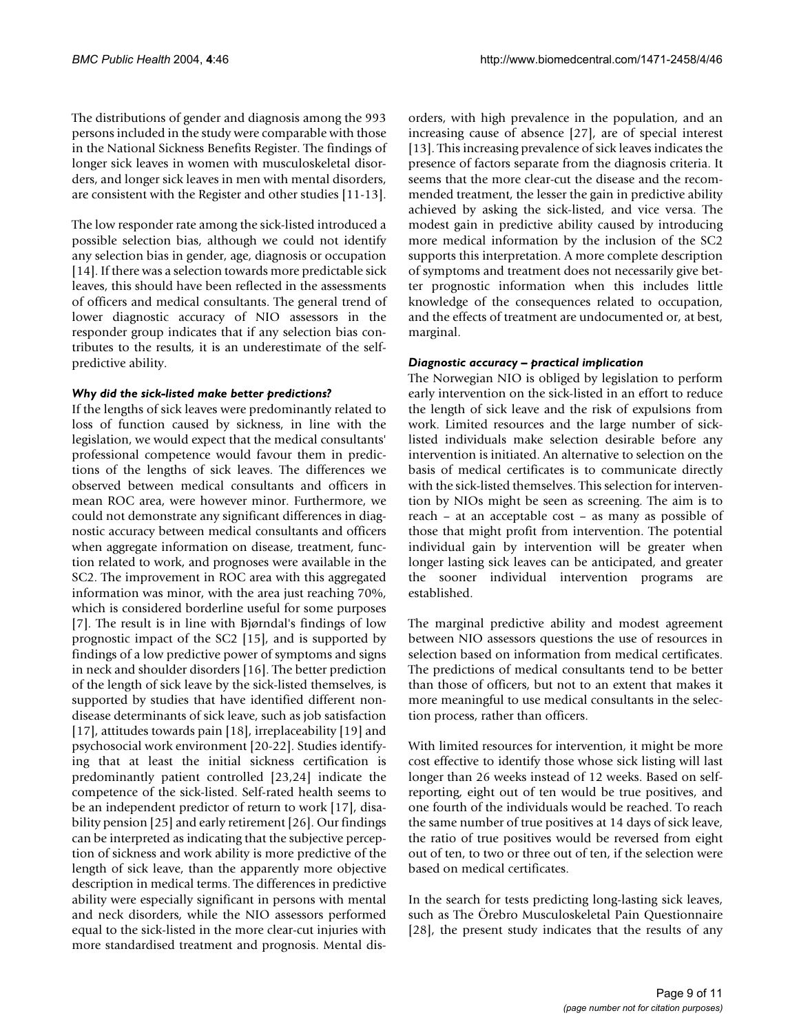The distributions of gender and diagnosis among the 993 persons included in the study were comparable with those in the National Sickness Benefits Register. The findings of longer sick leaves in women with musculoskeletal disorders, and longer sick leaves in men with mental disorders, are consistent with the Register and other studies [11-13].

The low responder rate among the sick-listed introduced a possible selection bias, although we could not identify any selection bias in gender, age, diagnosis or occupation [14]. If there was a selection towards more predictable sick leaves, this should have been reflected in the assessments of officers and medical consultants. The general trend of lower diagnostic accuracy of NIO assessors in the responder group indicates that if any selection bias contributes to the results, it is an underestimate of the selfpredictive ability.

## *Why did the sick-listed make better predictions?*

If the lengths of sick leaves were predominantly related to loss of function caused by sickness, in line with the legislation, we would expect that the medical consultants' professional competence would favour them in predictions of the lengths of sick leaves. The differences we observed between medical consultants and officers in mean ROC area, were however minor. Furthermore, we could not demonstrate any significant differences in diagnostic accuracy between medical consultants and officers when aggregate information on disease, treatment, function related to work, and prognoses were available in the SC2. The improvement in ROC area with this aggregated information was minor, with the area just reaching 70%, which is considered borderline useful for some purposes [7]. The result is in line with Bjørndal's findings of low prognostic impact of the SC2 [15], and is supported by findings of a low predictive power of symptoms and signs in neck and shoulder disorders [16]. The better prediction of the length of sick leave by the sick-listed themselves, is supported by studies that have identified different nondisease determinants of sick leave, such as job satisfaction [17], attitudes towards pain [18], irreplaceability [19] and psychosocial work environment [20-22]. Studies identifying that at least the initial sickness certification is predominantly patient controlled [23,24] indicate the competence of the sick-listed. Self-rated health seems to be an independent predictor of return to work [17], disability pension [25] and early retirement [26]. Our findings can be interpreted as indicating that the subjective perception of sickness and work ability is more predictive of the length of sick leave, than the apparently more objective description in medical terms. The differences in predictive ability were especially significant in persons with mental and neck disorders, while the NIO assessors performed equal to the sick-listed in the more clear-cut injuries with more standardised treatment and prognosis. Mental disorders, with high prevalence in the population, and an increasing cause of absence [27], are of special interest [13]. This increasing prevalence of sick leaves indicates the presence of factors separate from the diagnosis criteria. It seems that the more clear-cut the disease and the recommended treatment, the lesser the gain in predictive ability achieved by asking the sick-listed, and vice versa. The modest gain in predictive ability caused by introducing more medical information by the inclusion of the SC2 supports this interpretation. A more complete description of symptoms and treatment does not necessarily give better prognostic information when this includes little knowledge of the consequences related to occupation, and the effects of treatment are undocumented or, at best, marginal.

## *Diagnostic accuracy – practical implication*

The Norwegian NIO is obliged by legislation to perform early intervention on the sick-listed in an effort to reduce the length of sick leave and the risk of expulsions from work. Limited resources and the large number of sicklisted individuals make selection desirable before any intervention is initiated. An alternative to selection on the basis of medical certificates is to communicate directly with the sick-listed themselves. This selection for intervention by NIOs might be seen as screening. The aim is to reach – at an acceptable cost – as many as possible of those that might profit from intervention. The potential individual gain by intervention will be greater when longer lasting sick leaves can be anticipated, and greater the sooner individual intervention programs are established.

The marginal predictive ability and modest agreement between NIO assessors questions the use of resources in selection based on information from medical certificates. The predictions of medical consultants tend to be better than those of officers, but not to an extent that makes it more meaningful to use medical consultants in the selection process, rather than officers.

With limited resources for intervention, it might be more cost effective to identify those whose sick listing will last longer than 26 weeks instead of 12 weeks. Based on selfreporting, eight out of ten would be true positives, and one fourth of the individuals would be reached. To reach the same number of true positives at 14 days of sick leave, the ratio of true positives would be reversed from eight out of ten, to two or three out of ten, if the selection were based on medical certificates.

In the search for tests predicting long-lasting sick leaves, such as The Örebro Musculoskeletal Pain Questionnaire [28], the present study indicates that the results of any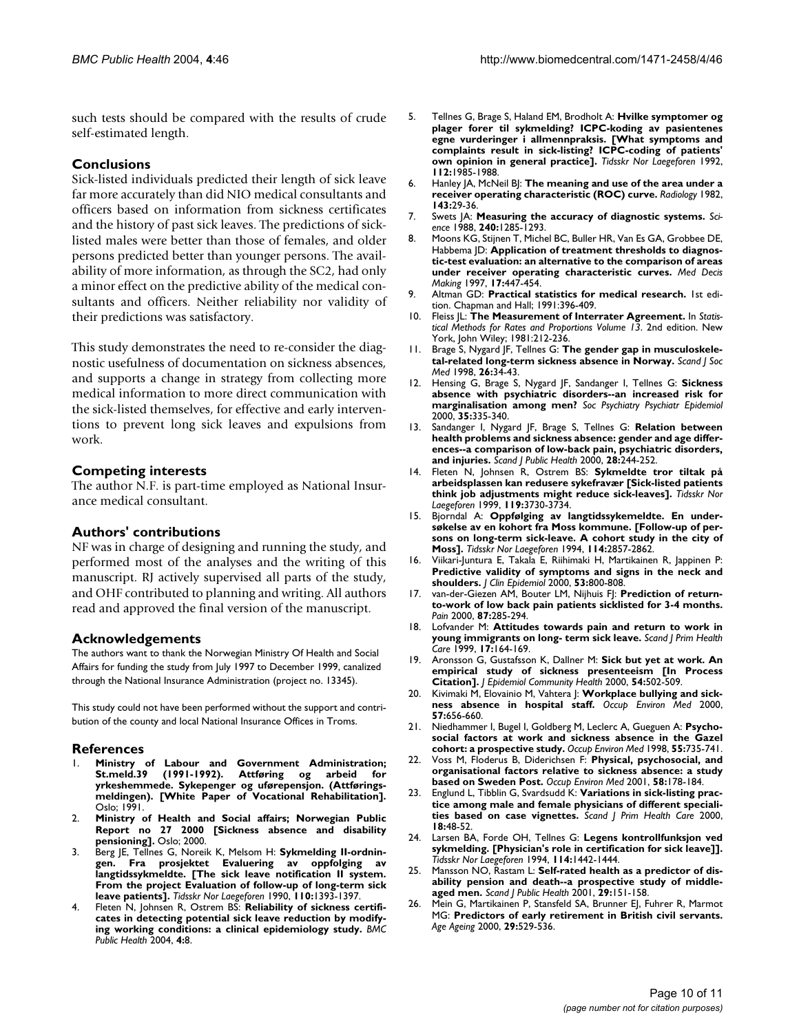such tests should be compared with the results of crude self-estimated length.

## **Conclusions**

Sick-listed individuals predicted their length of sick leave far more accurately than did NIO medical consultants and officers based on information from sickness certificates and the history of past sick leaves. The predictions of sicklisted males were better than those of females, and older persons predicted better than younger persons. The availability of more information, as through the SC2, had only a minor effect on the predictive ability of the medical consultants and officers. Neither reliability nor validity of their predictions was satisfactory.

This study demonstrates the need to re-consider the diagnostic usefulness of documentation on sickness absences, and supports a change in strategy from collecting more medical information to more direct communication with the sick-listed themselves, for effective and early interventions to prevent long sick leaves and expulsions from work.

## **Competing interests**

The author N.F. is part-time employed as National Insurance medical consultant.

## **Authors' contributions**

NF was in charge of designing and running the study, and performed most of the analyses and the writing of this manuscript. RJ actively supervised all parts of the study, and OHF contributed to planning and writing. All authors read and approved the final version of the manuscript.

## **Acknowledgements**

The authors want to thank the Norwegian Ministry Of Health and Social Affairs for funding the study from July 1997 to December 1999, canalized through the National Insurance Administration (project no. 13345).

This study could not have been performed without the support and contribution of the county and local National Insurance Offices in Troms.

## **References**

- 1. **Ministry of Labour and Government Administration; St.meld.39 (1991-1992). Attføring og arbeid for yrkeshemmede. Sykepenger og uførepensjon. (Attføringsmeldingen). [White Paper of Vocational Rehabilitation].** Oslo; 1991.
- 2. **Ministry of Health and Social affairs; Norwegian Public Report no 27 2000 [Sickness absence and disability pensioning].** Oslo; 2000.
- 3. Berg JE, Tellnes G, Noreik K, Melsom H: **[Sykmelding II-ordnin](http://www.ncbi.nlm.nih.gov/entrez/query.fcgi?cmd=Retrieve&db=PubMed&dopt=Abstract&list_uids=2339388)[gen. Fra prosjektet Evaluering av oppfolging av](http://www.ncbi.nlm.nih.gov/entrez/query.fcgi?cmd=Retrieve&db=PubMed&dopt=Abstract&list_uids=2339388) langtidssykmeldte. [The sick leave notification II system. From the project Evaluation of follow-up of long-term sick [leave patients\].](http://www.ncbi.nlm.nih.gov/entrez/query.fcgi?cmd=Retrieve&db=PubMed&dopt=Abstract&list_uids=2339388)** *Tidsskr Nor Laegeforen* 1990, **110:**1393-1397.
- Fleten N, Johnsen R, Ostrem BS: [Reliability of sickness certifi](http://www.ncbi.nlm.nih.gov/entrez/query.fcgi?cmd=Retrieve&db=PubMed&dopt=Abstract&list_uids=15043757)**[cates in detecting potential sick leave reduction by modify](http://www.ncbi.nlm.nih.gov/entrez/query.fcgi?cmd=Retrieve&db=PubMed&dopt=Abstract&list_uids=15043757)[ing working conditions: a clinical epidemiology study.](http://www.ncbi.nlm.nih.gov/entrez/query.fcgi?cmd=Retrieve&db=PubMed&dopt=Abstract&list_uids=15043757)** *BMC Public Health* 2004, **4:**8.
- 5. Tellnes G, Brage S, Haland EM, Brodholt A: **[Hvilke symptomer og](http://www.ncbi.nlm.nih.gov/entrez/query.fcgi?cmd=Retrieve&db=PubMed&dopt=Abstract&list_uids=1509466) [plager forer til sykmelding? ICPC-koding av pasientenes](http://www.ncbi.nlm.nih.gov/entrez/query.fcgi?cmd=Retrieve&db=PubMed&dopt=Abstract&list_uids=1509466) egne vurderinger i allmennpraksis. [What symptoms and complaints result in sick-listing? ICPC-coding of patients' [own opinion in general practice\].](http://www.ncbi.nlm.nih.gov/entrez/query.fcgi?cmd=Retrieve&db=PubMed&dopt=Abstract&list_uids=1509466)** *Tidsskr Nor Laegeforen* 1992, **112:**1985-1988.
- 6. Hanley JA, McNeil BJ: **[The meaning and use of the area under a](http://www.ncbi.nlm.nih.gov/entrez/query.fcgi?cmd=Retrieve&db=PubMed&dopt=Abstract&list_uids=7063747) [receiver operating characteristic \(ROC\) curve.](http://www.ncbi.nlm.nih.gov/entrez/query.fcgi?cmd=Retrieve&db=PubMed&dopt=Abstract&list_uids=7063747)** *Radiology* 1982, **143:**29-36.
- 7. Swets JA: **[Measuring the accuracy of diagnostic systems.](http://www.ncbi.nlm.nih.gov/entrez/query.fcgi?cmd=Retrieve&db=PubMed&dopt=Abstract&list_uids=3287615)** *Science* 1988, **240:**1285-1293.
- 8. Moons KG, Stijnen T, Michel BC, Buller HR, Van Es GA, Grobbee DE, Habbema JD: **[Application of treatment thresholds to diagnos](http://www.ncbi.nlm.nih.gov/entrez/query.fcgi?cmd=Retrieve&db=PubMed&dopt=Abstract&list_uids=9343803)[tic-test evaluation: an alternative to the comparison of areas](http://www.ncbi.nlm.nih.gov/entrez/query.fcgi?cmd=Retrieve&db=PubMed&dopt=Abstract&list_uids=9343803) [under receiver operating characteristic curves.](http://www.ncbi.nlm.nih.gov/entrez/query.fcgi?cmd=Retrieve&db=PubMed&dopt=Abstract&list_uids=9343803)** *Med Decis Making* 1997, **17:**447-454.
- 9. Altman GD: **Practical statistics for medical research.** 1st edition. Chapman and Hall; 1991:396-409.
- 10. Fleiss JL: **The Measurement of Interrater Agreement.** In *Statistical Methods for Rates and Proportions Volume 13*. 2nd edition. New York, John Wiley; 1981:212-236.
- 11. Brage S, Nygard JF, Tellnes G: **[The gender gap in musculoskele](http://www.ncbi.nlm.nih.gov/entrez/query.fcgi?cmd=Retrieve&db=PubMed&dopt=Abstract&list_uids=9526762)[tal-related long-term sickness absence in Norway.](http://www.ncbi.nlm.nih.gov/entrez/query.fcgi?cmd=Retrieve&db=PubMed&dopt=Abstract&list_uids=9526762)** *Scand J Soc Med* 1998, **26:**34-43.
- 12. Hensing G, Brage S, Nygard JF, Sandanger I, Tellnes G: **[Sickness](http://www.ncbi.nlm.nih.gov/entrez/query.fcgi?cmd=Retrieve&db=PubMed&dopt=Abstract&list_uids=11037301) [absence with psychiatric disorders--an increased risk for](http://www.ncbi.nlm.nih.gov/entrez/query.fcgi?cmd=Retrieve&db=PubMed&dopt=Abstract&list_uids=11037301) [marginalisation among men?](http://www.ncbi.nlm.nih.gov/entrez/query.fcgi?cmd=Retrieve&db=PubMed&dopt=Abstract&list_uids=11037301)** *Soc Psychiatry Psychiatr Epidemiol* 2000, **35:**335-340.
- 13. Sandanger I, Nygard JF, Brage S, Tellnes G: **[Relation between](http://www.ncbi.nlm.nih.gov/entrez/query.fcgi?cmd=Retrieve&db=PubMed&dopt=Abstract&list_uids=11228110) [health problems and sickness absence: gender and age differ](http://www.ncbi.nlm.nih.gov/entrez/query.fcgi?cmd=Retrieve&db=PubMed&dopt=Abstract&list_uids=11228110)ences--a comparison of low-back pain, psychiatric disorders, [and injuries.](http://www.ncbi.nlm.nih.gov/entrez/query.fcgi?cmd=Retrieve&db=PubMed&dopt=Abstract&list_uids=11228110)** *Scand J Public Health* 2000, **28:**244-252.
- 14. Fleten N, Johnsen R, Ostrem BS: **[Sykmeldte tror tiltak på](http://www.ncbi.nlm.nih.gov/entrez/query.fcgi?cmd=Retrieve&db=PubMed&dopt=Abstract&list_uids=10574048) [arbeidsplassen kan redusere sykefravær \[Sick-listed patients](http://www.ncbi.nlm.nih.gov/entrez/query.fcgi?cmd=Retrieve&db=PubMed&dopt=Abstract&list_uids=10574048) [think job adjustments might reduce sick-leaves\].](http://www.ncbi.nlm.nih.gov/entrez/query.fcgi?cmd=Retrieve&db=PubMed&dopt=Abstract&list_uids=10574048)** *Tidsskr Nor Laegeforen* 1999, **119:**3730-3734.
- 15. Bjorndal A: **[Oppfølging av langtidssykemeldte. En under](http://www.ncbi.nlm.nih.gov/entrez/query.fcgi?cmd=Retrieve&db=PubMed&dopt=Abstract&list_uids=7998036)[søkelse av en kohort fra Moss kommune. \[Follow-up of per](http://www.ncbi.nlm.nih.gov/entrez/query.fcgi?cmd=Retrieve&db=PubMed&dopt=Abstract&list_uids=7998036)sons on long-term sick-leave. A cohort study in the city of [Moss\].](http://www.ncbi.nlm.nih.gov/entrez/query.fcgi?cmd=Retrieve&db=PubMed&dopt=Abstract&list_uids=7998036)** *Tidsskr Nor Laegeforen* 1994, **114:**2857-2862.
- 16. Viikari-Juntura E, Takala E, Riihimaki H, Martikainen R, Jappinen P: **[Predictive validity of symptoms and signs in the neck and](http://www.ncbi.nlm.nih.gov/entrez/query.fcgi?cmd=Retrieve&db=PubMed&dopt=Abstract&list_uids=10942862) [shoulders.](http://www.ncbi.nlm.nih.gov/entrez/query.fcgi?cmd=Retrieve&db=PubMed&dopt=Abstract&list_uids=10942862)** *J Clin Epidemiol* 2000, **53:**800-808.
- 17. van-der-Giezen AM, Bouter LM, Nijhuis FJ: **[Prediction of return](http://www.ncbi.nlm.nih.gov/entrez/query.fcgi?cmd=Retrieve&db=PubMed&dopt=Abstract&list_uids=10963908)[to-work of low back pain patients sicklisted for 3-4 months.](http://www.ncbi.nlm.nih.gov/entrez/query.fcgi?cmd=Retrieve&db=PubMed&dopt=Abstract&list_uids=10963908)** *Pain* 2000, **87:**285-294.
- 18. Lofvander M: **[Attitudes towards pain and return to work in](http://www.ncbi.nlm.nih.gov/entrez/query.fcgi?cmd=Retrieve&db=PubMed&dopt=Abstract&list_uids=10555246) [young immigrants on long- term sick leave.](http://www.ncbi.nlm.nih.gov/entrez/query.fcgi?cmd=Retrieve&db=PubMed&dopt=Abstract&list_uids=10555246)** *Scand J Prim Health Care* 1999, **17:**164-169.
- 19. Aronsson G, Gustafsson K, Dallner M: **[Sick but yet at work. An](http://www.ncbi.nlm.nih.gov/entrez/query.fcgi?cmd=Retrieve&db=PubMed&dopt=Abstract&list_uids=10846192) [empirical study of sickness presenteeism \[In Process](http://www.ncbi.nlm.nih.gov/entrez/query.fcgi?cmd=Retrieve&db=PubMed&dopt=Abstract&list_uids=10846192) [Citation\].](http://www.ncbi.nlm.nih.gov/entrez/query.fcgi?cmd=Retrieve&db=PubMed&dopt=Abstract&list_uids=10846192)** *J Epidemiol Community Health* 2000, **54:**502-509.
- 20. Kivimaki M, Elovainio M, Vahtera J: **[Workplace bullying and sick](http://www.ncbi.nlm.nih.gov/entrez/query.fcgi?cmd=Retrieve&db=PubMed&dopt=Abstract&list_uids=10984336)[ness absence in hospital staff.](http://www.ncbi.nlm.nih.gov/entrez/query.fcgi?cmd=Retrieve&db=PubMed&dopt=Abstract&list_uids=10984336)** *Occup Environ Med* 2000, **57:**656-660.
- 21. Niedhammer I, Bugel I, Goldberg M, Leclerc A, Gueguen A: **[Psycho](http://www.ncbi.nlm.nih.gov/entrez/query.fcgi?cmd=Retrieve&db=PubMed&dopt=Abstract&list_uids=9924449)[social factors at work and sickness absence in the Gazel](http://www.ncbi.nlm.nih.gov/entrez/query.fcgi?cmd=Retrieve&db=PubMed&dopt=Abstract&list_uids=9924449) [cohort: a prospective study.](http://www.ncbi.nlm.nih.gov/entrez/query.fcgi?cmd=Retrieve&db=PubMed&dopt=Abstract&list_uids=9924449)** *Occup Environ Med* 1998, **55:**735-741.
- 22. Voss M, Floderus B, Diderichsen F: **[Physical, psychosocial, and](http://www.ncbi.nlm.nih.gov/entrez/query.fcgi?cmd=Retrieve&db=PubMed&dopt=Abstract&list_uids=11171931) [organisational factors relative to sickness absence: a study](http://www.ncbi.nlm.nih.gov/entrez/query.fcgi?cmd=Retrieve&db=PubMed&dopt=Abstract&list_uids=11171931) [based on Sweden Post.](http://www.ncbi.nlm.nih.gov/entrez/query.fcgi?cmd=Retrieve&db=PubMed&dopt=Abstract&list_uids=11171931)** *Occup Environ Med* 2001, **58:**178-184.
- 23. Englund L, Tibblin G, Svardsudd K: **[Variations in sick-listing prac](http://www.ncbi.nlm.nih.gov/entrez/query.fcgi?cmd=Retrieve&db=PubMed&dopt=Abstract&list_uids=10811044)[tice among male and female physicians of different speciali](http://www.ncbi.nlm.nih.gov/entrez/query.fcgi?cmd=Retrieve&db=PubMed&dopt=Abstract&list_uids=10811044)[ties based on case vignettes.](http://www.ncbi.nlm.nih.gov/entrez/query.fcgi?cmd=Retrieve&db=PubMed&dopt=Abstract&list_uids=10811044)** *Scand J Prim Health Care* 2000, **18:**48-52.
- 24. Larsen BA, Forde OH, Tellnes G: **[Legens kontrollfunksjon ved](http://www.ncbi.nlm.nih.gov/entrez/query.fcgi?cmd=Retrieve&db=PubMed&dopt=Abstract&list_uids=8079235) [sykmelding. \[Physician's role in certification for sick leave\]\].](http://www.ncbi.nlm.nih.gov/entrez/query.fcgi?cmd=Retrieve&db=PubMed&dopt=Abstract&list_uids=8079235)** *Tidsskr Nor Laegeforen* 1994, **114:**1442-1444.
- 25. Mansson NO, Rastam L: **[Self-rated health as a predictor of dis](http://www.ncbi.nlm.nih.gov/entrez/query.fcgi?cmd=Retrieve&db=PubMed&dopt=Abstract&list_uids=11484868)[ability pension and death--a prospective study of middle](http://www.ncbi.nlm.nih.gov/entrez/query.fcgi?cmd=Retrieve&db=PubMed&dopt=Abstract&list_uids=11484868)[aged men.](http://www.ncbi.nlm.nih.gov/entrez/query.fcgi?cmd=Retrieve&db=PubMed&dopt=Abstract&list_uids=11484868)** *Scand J Public Health* 2001, **29:**151-158.
- 26. Mein G, Martikainen P, Stansfeld SA, Brunner EJ, Fuhrer R, Marmot MG: **[Predictors of early retirement in British civil servants.](http://www.ncbi.nlm.nih.gov/entrez/query.fcgi?cmd=Retrieve&db=PubMed&dopt=Abstract&list_uids=11191246)** *Age Ageing* 2000, **29:**529-536.